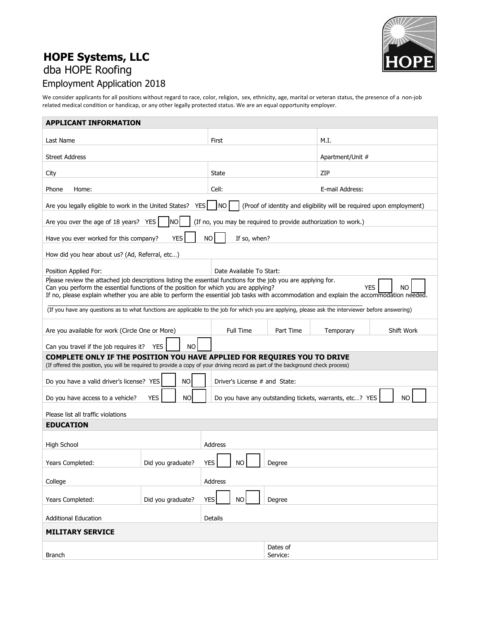

## **HOPE Systems, LLC** dba HOPE Roofing Employment Application 2018

We consider applicants for all positions without regard to race, color, religion, sex, ethnicity, age, marital or veteran status, the presence of a non-job related medical condition or handicap, or any other legally protected status. We are an equal opportunity employer.

| <b>APPLICANT INFORMATION</b>                                                                                                                                                                                                                                                                                                                                      |                               |                                                                |           |                                                         |           |  |  |  |
|-------------------------------------------------------------------------------------------------------------------------------------------------------------------------------------------------------------------------------------------------------------------------------------------------------------------------------------------------------------------|-------------------------------|----------------------------------------------------------------|-----------|---------------------------------------------------------|-----------|--|--|--|
| Last Name                                                                                                                                                                                                                                                                                                                                                         | First                         |                                                                | M.I.      |                                                         |           |  |  |  |
|                                                                                                                                                                                                                                                                                                                                                                   |                               |                                                                |           |                                                         |           |  |  |  |
| <b>Street Address</b>                                                                                                                                                                                                                                                                                                                                             |                               |                                                                |           | Apartment/Unit #                                        |           |  |  |  |
| City                                                                                                                                                                                                                                                                                                                                                              | State                         |                                                                | ZIP       |                                                         |           |  |  |  |
| Phone<br>Home:                                                                                                                                                                                                                                                                                                                                                    |                               | Cell:                                                          |           | E-mail Address:                                         |           |  |  |  |
| <b>INO</b><br>(Proof of identity and eligibility will be required upon employment)<br>Are you legally eligible to work in the United States?<br><b>YES</b>                                                                                                                                                                                                        |                               |                                                                |           |                                                         |           |  |  |  |
| Are you over the age of 18 years? YES                                                                                                                                                                                                                                                                                                                             | <b>NO</b>                     | (If no, you may be required to provide authorization to work.) |           |                                                         |           |  |  |  |
| Have you ever worked for this company?                                                                                                                                                                                                                                                                                                                            | <b>YES</b>                    | <b>NO</b><br>If so, when?                                      |           |                                                         |           |  |  |  |
| How did you hear about us? (Ad, Referral, etc)                                                                                                                                                                                                                                                                                                                    |                               |                                                                |           |                                                         |           |  |  |  |
| Position Applied For:                                                                                                                                                                                                                                                                                                                                             |                               | Date Available To Start:                                       |           |                                                         |           |  |  |  |
| Please review the attached job descriptions listing the essential functions for the job you are applying for.<br><b>YES</b><br>Can you perform the essential functions of the position for which you are applying?<br>NO<br>If no, please explain whether you are able to perform the essential job tasks with accommodation and explain the accommodation needed |                               |                                                                |           |                                                         |           |  |  |  |
| (If you have any questions as to what functions are applicable to the job for which you are applying, please ask the interviewer before answering)                                                                                                                                                                                                                |                               |                                                                |           |                                                         |           |  |  |  |
| Are you available for work (Circle One or More)                                                                                                                                                                                                                                                                                                                   | <b>Full Time</b>              | Part Time                                                      | Temporary | Shift Work                                              |           |  |  |  |
| Can you travel if the job requires it?                                                                                                                                                                                                                                                                                                                            | <b>YES</b><br>NO.             |                                                                |           |                                                         |           |  |  |  |
| COMPLETE ONLY IF THE POSITION YOU HAVE APPLIED FOR REQUIRES YOU TO DRIVE<br>(If offered this position, you will be required to provide a copy of your driving record as part of the background check process)                                                                                                                                                     |                               |                                                                |           |                                                         |           |  |  |  |
|                                                                                                                                                                                                                                                                                                                                                                   | <b>NO</b>                     |                                                                |           |                                                         |           |  |  |  |
| Do you have a valid driver's license? YES                                                                                                                                                                                                                                                                                                                         | Driver's License # and State: |                                                                |           |                                                         |           |  |  |  |
| Do you have access to a vehicle?                                                                                                                                                                                                                                                                                                                                  | <b>NO</b><br><b>YES</b>       |                                                                |           | Do you have any outstanding tickets, warrants, etc? YES | <b>NO</b> |  |  |  |
| Please list all traffic violations                                                                                                                                                                                                                                                                                                                                |                               |                                                                |           |                                                         |           |  |  |  |
| <b>EDUCATION</b>                                                                                                                                                                                                                                                                                                                                                  |                               |                                                                |           |                                                         |           |  |  |  |
|                                                                                                                                                                                                                                                                                                                                                                   |                               |                                                                |           |                                                         |           |  |  |  |
| <b>High School</b>                                                                                                                                                                                                                                                                                                                                                |                               | Address                                                        |           |                                                         |           |  |  |  |
| Years Completed:                                                                                                                                                                                                                                                                                                                                                  | Did you graduate?             | <b>YES</b><br><b>NO</b>                                        | Degree    |                                                         |           |  |  |  |
|                                                                                                                                                                                                                                                                                                                                                                   |                               |                                                                |           |                                                         |           |  |  |  |
| College<br>Address                                                                                                                                                                                                                                                                                                                                                |                               |                                                                |           |                                                         |           |  |  |  |
| Years Completed:                                                                                                                                                                                                                                                                                                                                                  | Did you graduate?             | NO<br><b>YES</b>                                               | Degree    |                                                         |           |  |  |  |
| <b>Additional Education</b>                                                                                                                                                                                                                                                                                                                                       | <b>Details</b>                |                                                                |           |                                                         |           |  |  |  |
| <b>MILITARY SERVICE</b>                                                                                                                                                                                                                                                                                                                                           |                               |                                                                |           |                                                         |           |  |  |  |
|                                                                                                                                                                                                                                                                                                                                                                   |                               |                                                                | Dates of  |                                                         |           |  |  |  |
| <b>Branch</b>                                                                                                                                                                                                                                                                                                                                                     |                               |                                                                | Service:  |                                                         |           |  |  |  |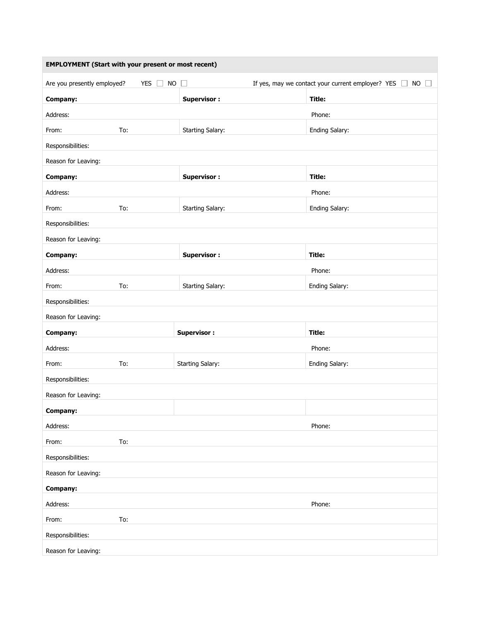| <b>EMPLOYMENT (Start with your present or most recent)</b> |                                |                         |                                                                                         |  |  |  |  |  |
|------------------------------------------------------------|--------------------------------|-------------------------|-----------------------------------------------------------------------------------------|--|--|--|--|--|
| Are you presently employed?                                | <b>NO</b><br>YES $\Box$        | $\Box$                  | If yes, may we contact your current employer? YES $\Box$<br><b>NO</b><br>$\mathbb{R}^n$ |  |  |  |  |  |
| Company:                                                   |                                | <b>Supervisor:</b>      | Title:                                                                                  |  |  |  |  |  |
| Address:                                                   |                                |                         | Phone:                                                                                  |  |  |  |  |  |
| From:                                                      | To:                            | <b>Starting Salary:</b> | Ending Salary:                                                                          |  |  |  |  |  |
| Responsibilities:                                          |                                |                         |                                                                                         |  |  |  |  |  |
| Reason for Leaving:                                        |                                |                         |                                                                                         |  |  |  |  |  |
| Company:                                                   |                                | <b>Supervisor:</b>      | Title:                                                                                  |  |  |  |  |  |
| Address:                                                   |                                |                         | Phone:                                                                                  |  |  |  |  |  |
| From:                                                      | To:                            | <b>Starting Salary:</b> | Ending Salary:                                                                          |  |  |  |  |  |
| Responsibilities:                                          |                                |                         |                                                                                         |  |  |  |  |  |
| Reason for Leaving:                                        |                                |                         |                                                                                         |  |  |  |  |  |
| Company:                                                   |                                | <b>Supervisor:</b>      | Title:                                                                                  |  |  |  |  |  |
| Address:                                                   |                                |                         | Phone:                                                                                  |  |  |  |  |  |
| From:                                                      | To:                            | <b>Starting Salary:</b> | Ending Salary:                                                                          |  |  |  |  |  |
| Responsibilities:                                          |                                |                         |                                                                                         |  |  |  |  |  |
| Reason for Leaving:                                        |                                |                         |                                                                                         |  |  |  |  |  |
| Company:                                                   |                                | <b>Supervisor:</b>      | Title:                                                                                  |  |  |  |  |  |
| Address:                                                   |                                |                         | Phone:                                                                                  |  |  |  |  |  |
| From:                                                      | <b>Starting Salary:</b><br>To: |                         | Ending Salary:                                                                          |  |  |  |  |  |
| Responsibilities:                                          |                                |                         |                                                                                         |  |  |  |  |  |
| Reason for Leaving:                                        |                                |                         |                                                                                         |  |  |  |  |  |
| Company:                                                   |                                |                         |                                                                                         |  |  |  |  |  |
| Address:                                                   |                                |                         | Phone:                                                                                  |  |  |  |  |  |
| From:                                                      | To:                            |                         |                                                                                         |  |  |  |  |  |
| Responsibilities:                                          |                                |                         |                                                                                         |  |  |  |  |  |
| Reason for Leaving:                                        |                                |                         |                                                                                         |  |  |  |  |  |
| Company:                                                   |                                |                         |                                                                                         |  |  |  |  |  |
| Address:                                                   |                                |                         | Phone:                                                                                  |  |  |  |  |  |
| From:                                                      | To:                            |                         |                                                                                         |  |  |  |  |  |
| Responsibilities:                                          |                                |                         |                                                                                         |  |  |  |  |  |
| Reason for Leaving:                                        |                                |                         |                                                                                         |  |  |  |  |  |